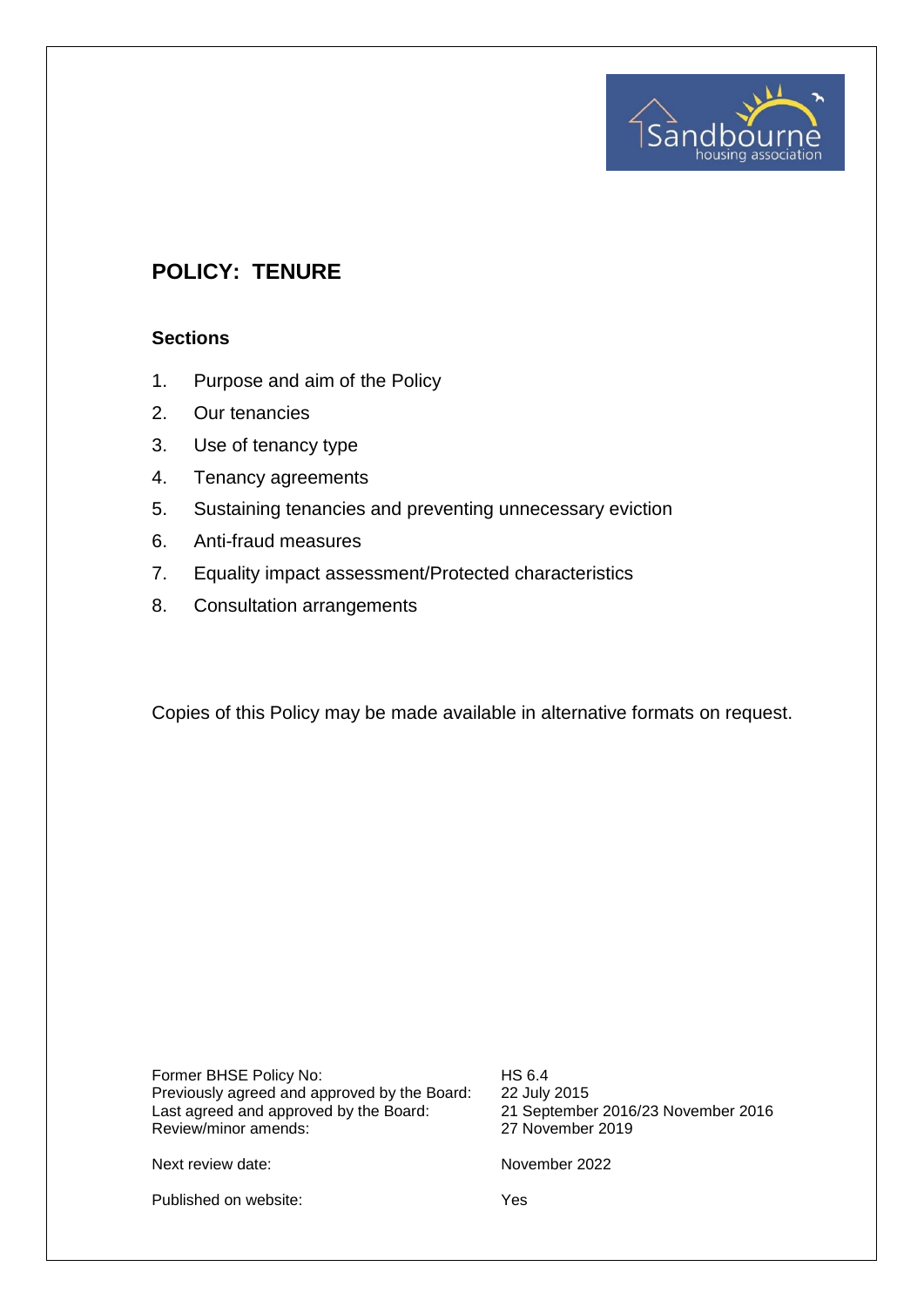

# **POLICY: TENURE**

## **Sections**

- 1. Purpose and aim of the Policy
- 2. Our tenancies
- 3. Use of tenancy type
- 4. Tenancy agreements
- 5. Sustaining tenancies and preventing unnecessary eviction
- 6. Anti-fraud measures
- 7. Equality impact assessment/Protected characteristics
- 8. Consultation arrangements

Copies of this Policy may be made available in alternative formats on request.

Former BHSE Policy No: HS 6.4 Previously agreed and approved by the Board: 22 July 2015<br>Last agreed and approved by the Board: 21 September 2016/23 November 2016 Last agreed and approved by the Board: Review/minor amends: 27 November 2019

Next review date: November 2022

Published on website: Yes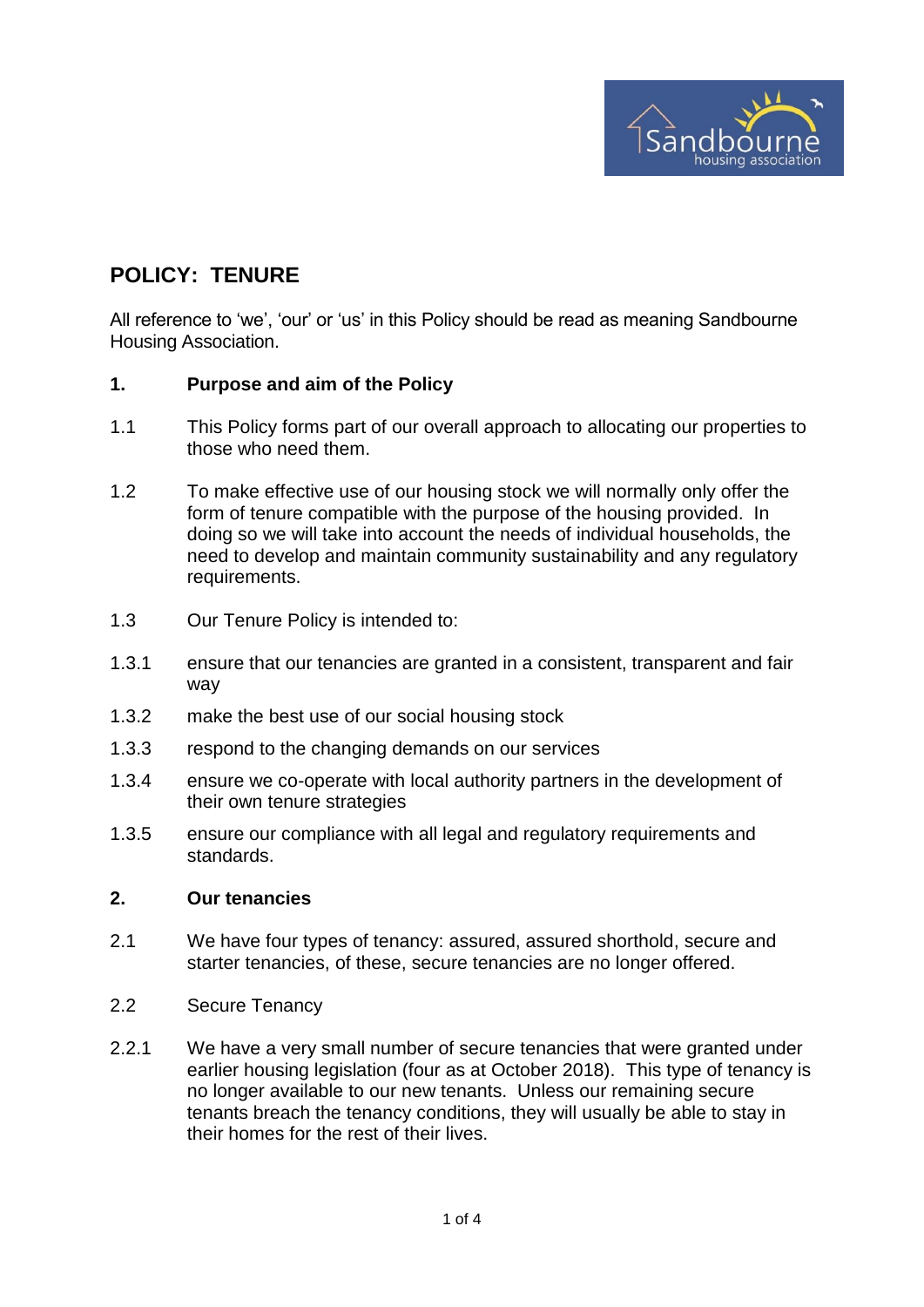

# **POLICY: TENURE**

All reference to 'we', 'our' or 'us' in this Policy should be read as meaning Sandbourne Housing Association.

## **1. Purpose and aim of the Policy**

- 1.1 This Policy forms part of our overall approach to allocating our properties to those who need them.
- 1.2 To make effective use of our housing stock we will normally only offer the form of tenure compatible with the purpose of the housing provided. In doing so we will take into account the needs of individual households, the need to develop and maintain community sustainability and any regulatory requirements.
- 1.3 Our Tenure Policy is intended to:
- 1.3.1 ensure that our tenancies are granted in a consistent, transparent and fair way
- 1.3.2 make the best use of our social housing stock
- 1.3.3 respond to the changing demands on our services
- 1.3.4 ensure we co-operate with local authority partners in the development of their own tenure strategies
- 1.3.5 ensure our compliance with all legal and regulatory requirements and standards.

#### **2. Our tenancies**

- 2.1 We have four types of tenancy: assured, assured shorthold, secure and starter tenancies, of these, secure tenancies are no longer offered.
- 2.2 Secure Tenancy
- 2.2.1 We have a very small number of secure tenancies that were granted under earlier housing legislation (four as at October 2018). This type of tenancy is no longer available to our new tenants. Unless our remaining secure tenants breach the tenancy conditions, they will usually be able to stay in their homes for the rest of their lives.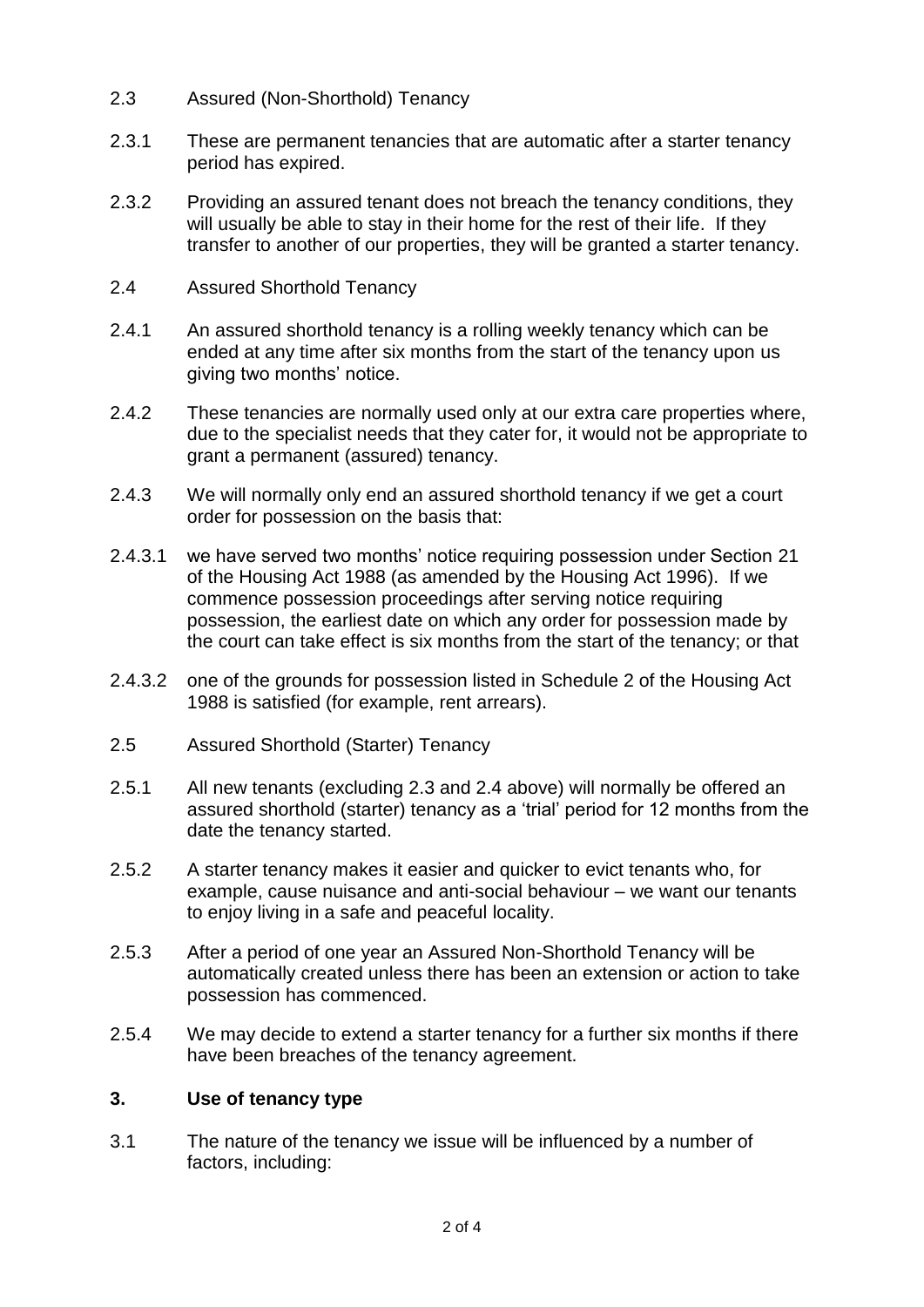- 2.3 Assured (Non-Shorthold) Tenancy
- 2.3.1 These are permanent tenancies that are automatic after a starter tenancy period has expired.
- 2.3.2 Providing an assured tenant does not breach the tenancy conditions, they will usually be able to stay in their home for the rest of their life. If they transfer to another of our properties, they will be granted a starter tenancy.
- 2.4 Assured Shorthold Tenancy
- 2.4.1 An assured shorthold tenancy is a rolling weekly tenancy which can be ended at any time after six months from the start of the tenancy upon us giving two months' notice.
- 2.4.2 These tenancies are normally used only at our extra care properties where, due to the specialist needs that they cater for, it would not be appropriate to grant a permanent (assured) tenancy.
- 2.4.3 We will normally only end an assured shorthold tenancy if we get a court order for possession on the basis that:
- 2.4.3.1 we have served two months' notice requiring possession under Section 21 of the Housing Act 1988 (as amended by the Housing Act 1996). If we commence possession proceedings after serving notice requiring possession, the earliest date on which any order for possession made by the court can take effect is six months from the start of the tenancy; or that
- 2.4.3.2 one of the grounds for possession listed in Schedule 2 of the Housing Act 1988 is satisfied (for example, rent arrears).
- 2.5 Assured Shorthold (Starter) Tenancy
- 2.5.1 All new tenants (excluding 2.3 and 2.4 above) will normally be offered an assured shorthold (starter) tenancy as a 'trial' period for 12 months from the date the tenancy started.
- 2.5.2 A starter tenancy makes it easier and quicker to evict tenants who, for example, cause nuisance and anti-social behaviour – we want our tenants to enjoy living in a safe and peaceful locality.
- 2.5.3 After a period of one year an Assured Non-Shorthold Tenancy will be automatically created unless there has been an extension or action to take possession has commenced.
- 2.5.4 We may decide to extend a starter tenancy for a further six months if there have been breaches of the tenancy agreement.

# **3. Use of tenancy type**

3.1 The nature of the tenancy we issue will be influenced by a number of factors, including: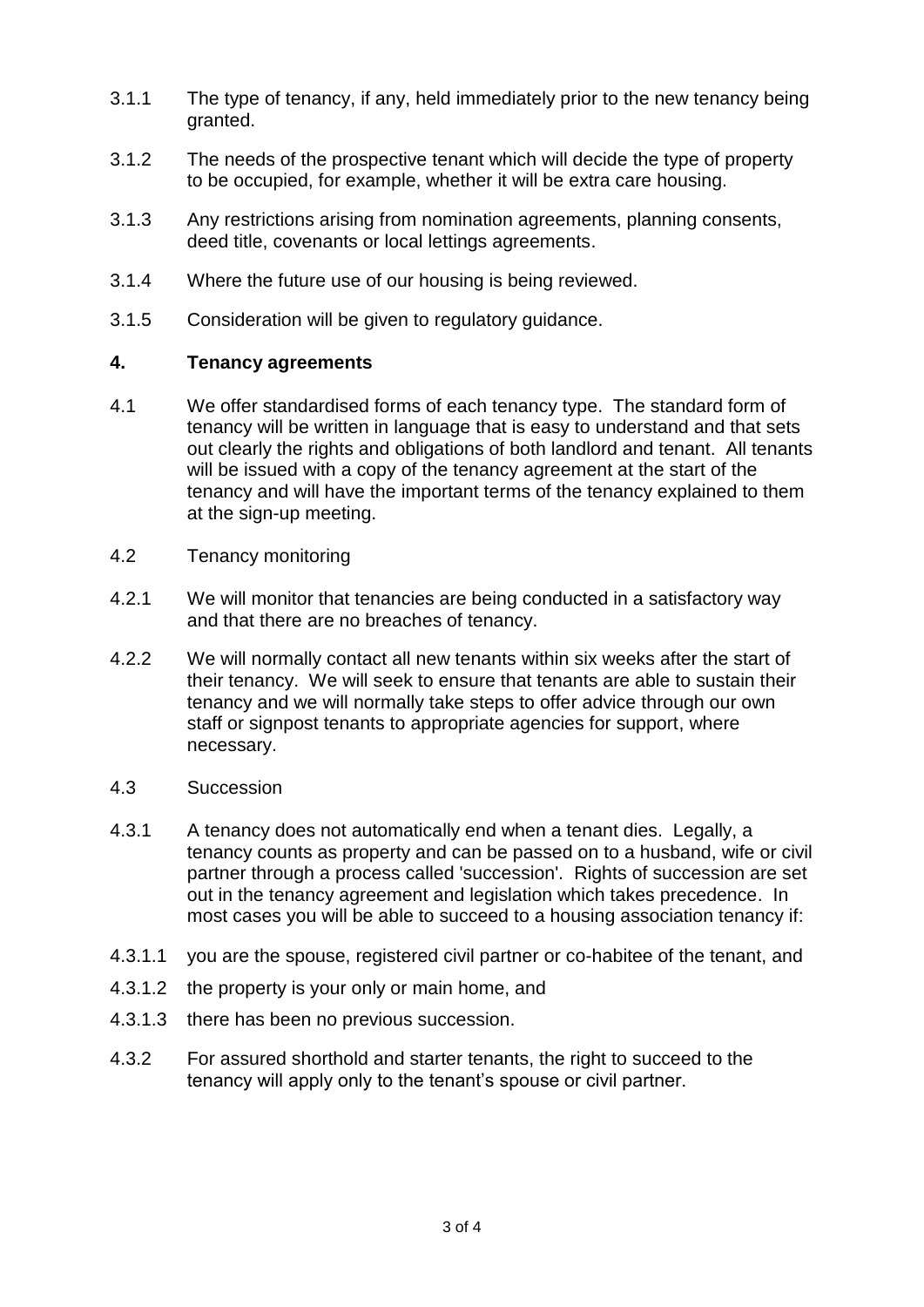- 3.1.1 The type of tenancy, if any, held immediately prior to the new tenancy being granted.
- 3.1.2 The needs of the prospective tenant which will decide the type of property to be occupied, for example, whether it will be extra care housing.
- 3.1.3 Any restrictions arising from nomination agreements, planning consents, deed title, covenants or local lettings agreements.
- 3.1.4 Where the future use of our housing is being reviewed.
- 3.1.5 Consideration will be given to regulatory guidance.

# **4. Tenancy agreements**

- 4.1 We offer standardised forms of each tenancy type. The standard form of tenancy will be written in language that is easy to understand and that sets out clearly the rights and obligations of both landlord and tenant. All tenants will be issued with a copy of the tenancy agreement at the start of the tenancy and will have the important terms of the tenancy explained to them at the sign-up meeting.
- 4.2 Tenancy monitoring
- 4.2.1 We will monitor that tenancies are being conducted in a satisfactory way and that there are no breaches of tenancy.
- 4.2.2 We will normally contact all new tenants within six weeks after the start of their tenancy. We will seek to ensure that tenants are able to sustain their tenancy and we will normally take steps to offer advice through our own staff or signpost tenants to appropriate agencies for support, where necessary.
- 4.3 Succession
- 4.3.1 A tenancy does not automatically end when a tenant dies. Legally, a tenancy counts as property and can be passed on to a husband, wife or civil partner through a process called 'succession'. Rights of succession are set out in the tenancy agreement and legislation which takes precedence. In most cases you will be able to succeed to a housing association tenancy if:
- 4.3.1.1 you are the spouse, registered civil partner or co-habitee of the tenant, and
- 4.3.1.2 the property is your only or main home, and
- 4.3.1.3 there has been no previous succession.
- 4.3.2 For assured shorthold and starter tenants, the right to succeed to the tenancy will apply only to the tenant's spouse or civil partner.